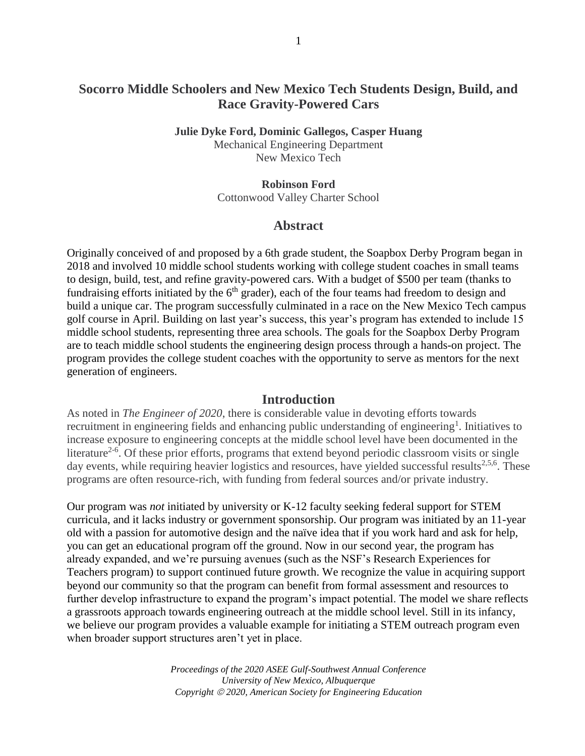## **Socorro Middle Schoolers and New Mexico Tech Students Design, Build, and Race Gravity-Powered Cars**

**Julie Dyke Ford, Dominic Gallegos, Casper Huang** Mechanical Engineering Department New Mexico Tech

> **Robinson Ford** Cottonwood Valley Charter School

## **Abstract**

Originally conceived of and proposed by a 6th grade student, the Soapbox Derby Program began in 2018 and involved 10 middle school students working with college student coaches in small teams to design, build, test, and refine gravity-powered cars. With a budget of \$500 per team (thanks to fundraising efforts initiated by the  $6<sup>th</sup>$  grader), each of the four teams had freedom to design and build a unique car. The program successfully culminated in a race on the New Mexico Tech campus golf course in April. Building on last year's success, this year's program has extended to include 15 middle school students, representing three area schools. The goals for the Soapbox Derby Program are to teach middle school students the engineering design process through a hands-on project. The program provides the college student coaches with the opportunity to serve as mentors for the next generation of engineers.

## **Introduction**

As noted in *The Engineer of 2020*, there is considerable value in devoting efforts towards recruitment in engineering fields and enhancing public understanding of engineering<sup>1</sup>. Initiatives to increase exposure to engineering concepts at the middle school level have been documented in the literature<sup>2-6</sup>. Of these prior efforts, programs that extend beyond periodic classroom visits or single day events, while requiring heavier logistics and resources, have yielded successful results<sup>2,5,6</sup>. These programs are often resource-rich, with funding from federal sources and/or private industry.

Our program was *not* initiated by university or K-12 faculty seeking federal support for STEM curricula, and it lacks industry or government sponsorship. Our program was initiated by an 11-year old with a passion for automotive design and the naïve idea that if you work hard and ask for help, you can get an educational program off the ground. Now in our second year, the program has already expanded, and we're pursuing avenues (such as the NSF's Research Experiences for Teachers program) to support continued future growth. We recognize the value in acquiring support beyond our community so that the program can benefit from formal assessment and resources to further develop infrastructure to expand the program's impact potential. The model we share reflects a grassroots approach towards engineering outreach at the middle school level. Still in its infancy, we believe our program provides a valuable example for initiating a STEM outreach program even when broader support structures aren't yet in place.

> *Proceedings of the 2020 ASEE Gulf-Southwest Annual Conference University of New Mexico, Albuquerque Copyright 2020, American Society for Engineering Education*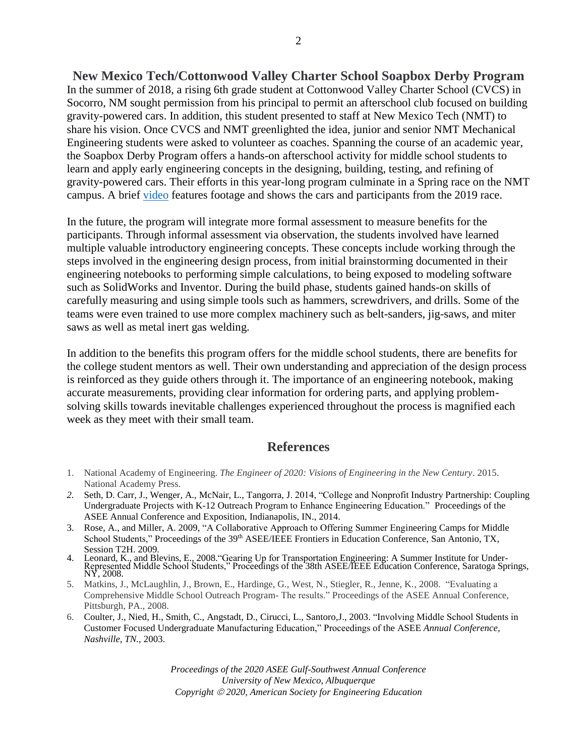**New Mexico Tech/Cottonwood Valley Charter School Soapbox Derby Program** In the summer of 2018, a rising 6th grade student at Cottonwood Valley Charter School (CVCS) in Socorro, NM sought permission from his principal to permit an afterschool club focused on building gravity-powered cars. In addition, this student presented to staff at New Mexico Tech (NMT) to share his vision. Once CVCS and NMT greenlighted the idea, junior and senior NMT Mechanical Engineering students were asked to volunteer as coaches. Spanning the course of an academic year, the Soapbox Derby Program offers a hands-on afterschool activity for middle school students to learn and apply early engineering concepts in the designing, building, testing, and refining of gravity-powered cars. Their efforts in this year-long program culminate in a Spring race on the NMT

In the future, the program will integrate more formal assessment to measure benefits for the participants. Through informal assessment via observation, the students involved have learned multiple valuable introductory engineering concepts. These concepts include working through the steps involved in the engineering design process, from initial brainstorming documented in their engineering notebooks to performing simple calculations, to being exposed to modeling software such as SolidWorks and Inventor. During the build phase, students gained hands-on skills of carefully measuring and using simple tools such as hammers, screwdrivers, and drills. Some of the teams were even trained to use more complex machinery such as belt-sanders, jig-saws, and miter saws as well as metal inert gas welding.

campus. A brief [video](https://www.youtube.com/watch?v=PXdcWPWQWKg) features footage and shows the cars and participants from the 2019 race.

In addition to the benefits this program offers for the middle school students, there are benefits for the college student mentors as well. Their own understanding and appreciation of the design process is reinforced as they guide others through it. The importance of an engineering notebook, making accurate measurements, providing clear information for ordering parts, and applying problemsolving skills towards inevitable challenges experienced throughout the process is magnified each week as they meet with their small team.

## **References**

- 1. National Academy of Engineering. *The Engineer of 2020: Visions of Engineering in the New Century*. 2015. National Academy Press.
- *2.* Seth, D. Carr, J., Wenger, A., McNair, L., Tangorra, J. 2014, "College and Nonprofit Industry Partnership: Coupling Undergraduate Projects with K-12 Outreach Program to Enhance Engineering Education." Proceedings of the ASEE Annual Conference and Exposition, Indianapolis, IN., 2014.
- 3. Rose, A., and Miller, A. 2009, "A Collaborative Approach to Offering Summer Engineering Camps for Middle School Students," Proceedings of the 39<sup>th</sup> ASEE/IEEE Frontiers in Education Conference, San Antonio, TX, Session T2H. 2009.
- 4. Leonard, K., and Blevins, E., 2008."Gearing Up for Transportation Engineering: A Summer Institute for Under-Represented Middle School Students," Proceedings of the 38th ASEE/IEEE Education Conference, Saratoga Springs, NY, 2008.
- 5. Matkins, J., McLaughlin, J., Brown, E., Hardinge, G., West, N., Stiegler, R., Jenne, K., 2008. "Evaluating a Comprehensive Middle School Outreach Program- The results." Proceedings of the ASEE Annual Conference, Pittsburgh, PA., 2008.
- 6. Coulter, J., Nied, H., Smith, C., Angstadt, D., Cirucci, L., Santoro,J., 2003. "Involving Middle School Students in Customer Focused Undergraduate Manufacturing Education," Proceedings of the ASEE *Annual Conference, Nashville, TN.,* 2003.

*Proceedings of the 2020 ASEE Gulf-Southwest Annual Conference University of New Mexico, Albuquerque Copyright 2020, American Society for Engineering Education*